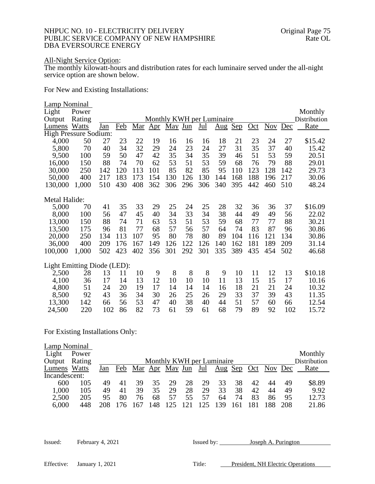## NHPUC NO. 10 - ELECTRICITY DELIVERY DELIVERY OF NEW HAMPSHIRE Original Page 75 PUBLIC SERVICE COMPANY OF NEW HAMPSHIRE DBA EVERSOURCE ENERGY

## All-Night Service Option:

The monthly kilowatt-hours and distribution rates for each luminaire served under the all-night service option are shown below.

For New and Existing Installations:

| Lamp Nominal<br>Light<br>Output<br>Lumens | Power<br>Rating<br>Watts | J <u>an</u> | <u>Feb</u> | <u>Mar</u> | $\Delta$ pr | May Jun |     | $Jul$ | Monthly KWH per Luminaire | Sep |       | Nov | Dec | Monthly<br>Distribution<br>Rate |
|-------------------------------------------|--------------------------|-------------|------------|------------|-------------|---------|-----|-------|---------------------------|-----|-------|-----|-----|---------------------------------|
| <b>High Pressure Sodium:</b>              |                          |             |            |            |             |         |     |       | $\overline{\text{Aug}}$   |     | $Oct$ |     |     |                                 |
| 4,000                                     | 50                       | 27          | 23         | 22         | 19          | 16      | 16  | 16    | 18                        | 21  | 23    | 24  | 27  | \$15.42                         |
| 5,800                                     | 70                       | 40          | 34         | 32         | 29          | 24      | 23  | 24    | 27                        | 31  | 35    | 37  | 40  | 15.42                           |
| 9,500                                     | 100                      | 59          | 50         | 47         | 42          | 35      | 34  | 35    | 39                        | 46  | 51    | 53  | 59  | 20.51                           |
| 16,000                                    | 150                      | 88          | 74         | 70         | 62          | 53      | 51  | 53    | 59                        | 68  | 76    | 79  | 88  | 29.01                           |
| 30,000                                    | 250                      | 142         | 120        | 113        | 101         | 85      | 82  | 85    | 95                        | 110 | 123   | 128 | 142 | 29.73                           |
| 50,000                                    | 400                      | 217         | 183        | 173        | 154         | 130     | 126 | 130   | 144                       | 168 | 188   | 196 | 217 | 30.06                           |
| 130,000                                   | 1,000                    | 510         | 430        | 408        | 362         | 306     | 296 | 306   | 340                       | 395 | 442   | 460 | 510 | 48.24                           |
|                                           |                          |             |            |            |             |         |     |       |                           |     |       |     |     |                                 |
| Metal Halide:                             |                          |             |            |            |             |         |     |       |                           |     |       |     |     |                                 |
| 5,000                                     | 70                       | 41          | 35         | 33         | 29          | 25      | 24  | 25    | 28                        | 32  | 36    | 36  | 37  | \$16.09                         |
| 8,000                                     | 100                      | 56          | 47         | 45         | 40          | 34      | 33  | 34    | 38                        | 44  | 49    | 49  | 56  | 22.02                           |
| 13,000                                    | 150                      | 88          | 74         | 71         | 63          | 53      | 51  | 53    | 59                        | 68  | 77    | 77  | 88  | 30.21                           |
| 13,500                                    | 175                      | 96          | 81         | 77         | 68          | 57      | 56  | 57    | 64                        | 74  | 83    | 87  | 96  | 30.86                           |
| 20,000                                    | 250                      | 134         | 113        | 107        | 95          | 80      | 78  | 80    | 89                        | 104 | 116   | 121 | 134 | 30.86                           |
| 36,000                                    | 400                      | 209         | 176        | 167        | 149         | 126     | 122 | 126   | 140                       | 162 | 181   | 189 | 209 | 31.14                           |
| 100,000                                   | 1,000                    | 502         | 423        | 402        | 356         | 301     | 292 | 301   | 335                       | 389 | 435   | 454 | 502 | 46.68                           |
| Light Emitting Diode (LED):               |                          |             |            |            |             |         |     |       |                           |     |       |     |     |                                 |
| 2,500                                     | 28                       | 13          | 11         | 10         | 9           | 8       | 8   | 8     | 9                         | 10  | 11    | 12  | 13  | \$10.18                         |
| 4,100                                     | 36                       | 17          | 14         | 13         | 12          | 10      | 10  | 10    | 11                        | 13  | 15    | 15  | 17  | 10.16                           |
| 4,800                                     | 51                       | 24          | 20         | 19         | 17          | 14      | 14  | 14    | 16                        | 18  | 21    | 21  | 24  | 10.32                           |
| 8,500                                     | 92                       | 43          | 36         | 34         | 30          | 26      | 25  | 26    | 29                        | 33  | 37    | 39  | 43  | 11.35                           |
| 13,300                                    | 142                      | 66          | 56         | 53         | 47          | 40      | 38  | 40    | 44                        | 51  | 57    | 60  | 66  | 12.54                           |
| 24,500                                    | 220                      | 102         | 86         | 82         | 73          | 61      | 59  | 61    | 68                        | 79  | 89    | 92  | 102 | 15.72                           |

For Existing Installations Only:

| Lamp Nominal  |        |     |     |    |    |                        |    |            |                           |    |    |                    |     |              |
|---------------|--------|-----|-----|----|----|------------------------|----|------------|---------------------------|----|----|--------------------|-----|--------------|
| Light         | Power  |     |     |    |    |                        |    |            |                           |    |    |                    |     | Monthly      |
| Output        | Rating |     |     |    |    |                        |    |            | Monthly KWH per Luminaire |    |    |                    |     | Distribution |
| Lumens Watts  |        | Jan | Feb |    |    | <u>Mar Apr May Jun</u> |    | <u>Jul</u> | <u>Aug Sep</u>            |    |    | <u>Oct</u> Nov Dec |     | Rate         |
| Incandescent: |        |     |     |    |    |                        |    |            |                           |    |    |                    |     |              |
| 600           | 105    | 49  |     | 39 | 35 | 29                     | 28 | 29         | 33                        | 38 | 42 | 44                 | 49  | \$8.89       |
| 1,000         | 105    | 49  | 41  | 39 | 35 | 29                     | 28 | 29         | 33                        | 38 | 42 | 44                 | 49  | 9.92         |
| 2,500         | 205    | 95  | 80  | 76 | 68 | 57                     | 55 | 57         | 64                        | 74 | 83 | 86                 | 95  | 12.73        |
| 6,000         | 448    | 208 | 176 |    |    |                        |    |            | 139                       |    |    |                    | 208 | 21.86        |

| Issued: February 4, 2021 | Issued by: | Joseph A. Purington |
|--------------------------|------------|---------------------|
|                          |            |                     |

| Effective: | January 1, 2021 |  |
|------------|-----------------|--|
|            |                 |  |

Title: President, NH Electric Operations